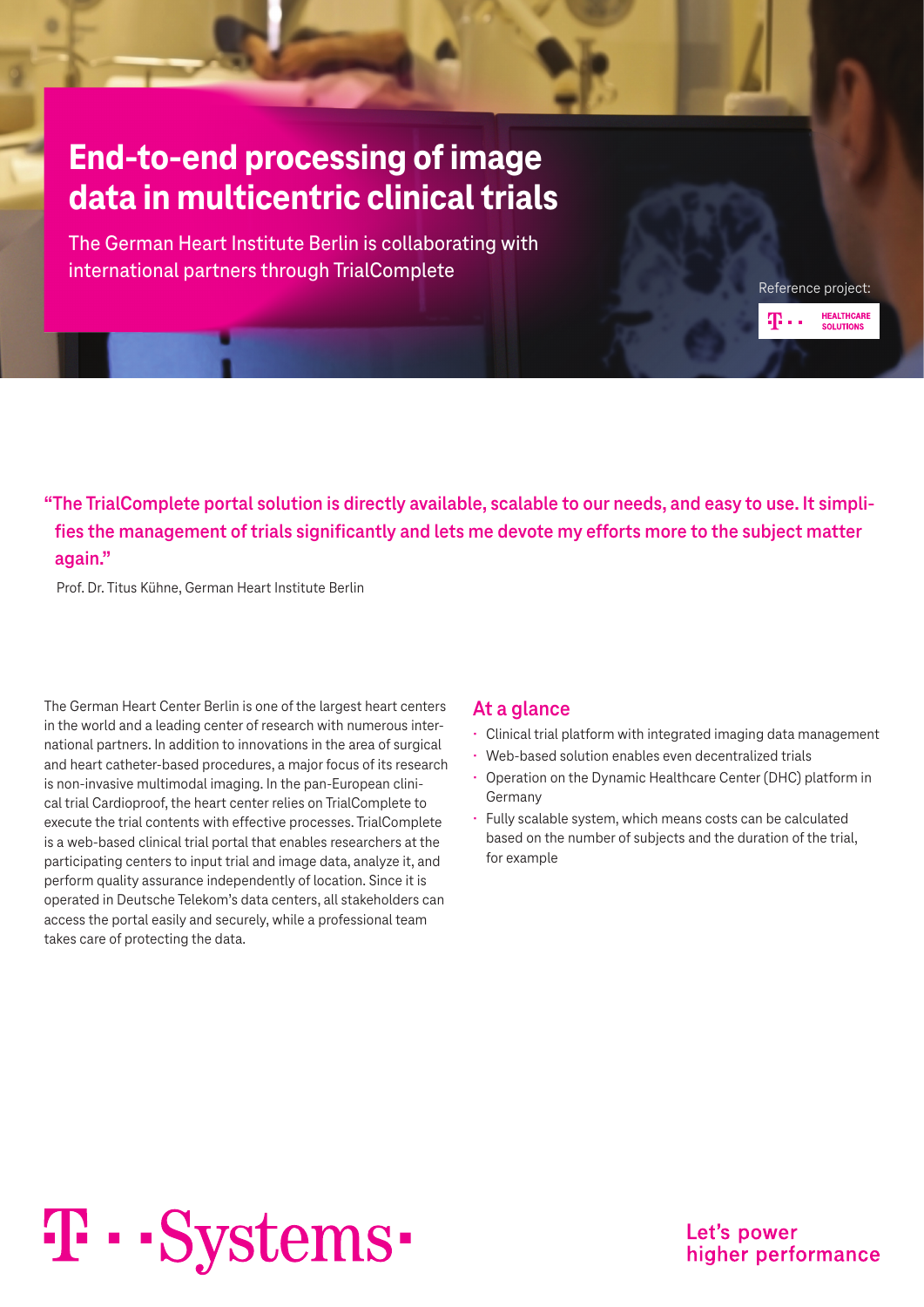### **End-to-end processing of image data in multicentric clinical trials**

The German Heart Institute Berlin is collaborating with international partners through TrialComplete

**"The TrialComplete portal solution is directly available, scalable to our needs, and easy to use. It simplifies the management of trials significantly and lets me devote my efforts more to the subject matter again."**

Prof. Dr. Titus Kühne, German Heart Institute Berlin

The German Heart Center Berlin is one of the largest heart centers in the world and a leading center of research with numerous international partners. In addition to innovations in the area of surgical and heart catheter-based procedures, a major focus of its research is non-invasive multimodal imaging. In the pan-European clinical trial Cardioproof, the heart center relies on TrialComplete to execute the trial contents with effective processes. TrialComplete is a web-based clinical trial portal that enables researchers at the participating centers to input trial and image data, analyze it, and perform quality assurance independently of location. Since it is operated in Deutsche Telekom's data centers, all stakeholders can access the portal easily and securely, while a professional team takes care of protecting the data.

#### **At a glance**

- Clinical trial platform with integrated imaging data management
- Web-based solution enables even decentralized trials
- Operation on the Dynamic Healthcare Center (DHC) platform in Germany
- Fully scalable system, which means costs can be calculated based on the number of subjects and the duration of the trial, for example

# T · · Systems ·

Let's power higher performance

Reference project:

æ.,

**HEALTHCARE** 

**SOLUTIONS**